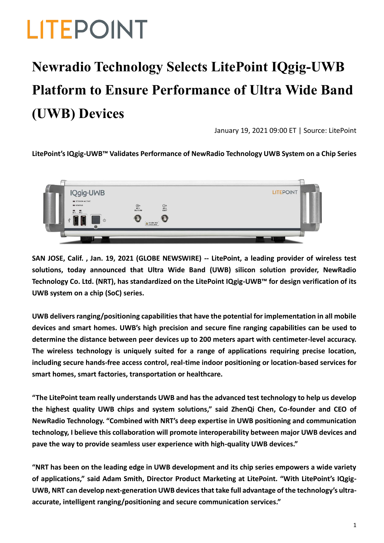# **LITEPOINT**

### **Newradio Technology Selects LitePoint IQgig-UWB Platform to Ensure Performance of Ultra Wide Band (UWB) Devices**

January 19, 2021 09:00 ET | Source: LitePoint

#### **LitePoint's IQgig-UWB™ Validates Performance of NewRadio Technology UWB System on a Chip Series**



**SAN JOSE, Calif. , Jan. 19, 2021 (GLOBE NEWSWIRE) -- LitePoint, a leading provider of wireless test solutions, today announced that Ultra Wide Band (UWB) silicon solution provider, NewRadio Technology Co. Ltd. (NRT), has standardized on the LitePoint IQgig-UWB™ for design verification of its UWB system on a chip (SoC) series.**

**UWB delivers ranging/positioning capabilities that have the potential for implementation in all mobile devices and smart homes. UWB's high precision and secure fine ranging capabilities can be used to determine the distance between peer devices up to 200 meters apart with centimeter-level accuracy. The wireless technology is uniquely suited for a range of applications requiring precise location, including secure hands-free access control, real-time indoor positioning or location-based services for smart homes, smart factories, transportation or healthcare.**

**"The LitePoint team really understands UWB and has the advanced test technology to help us develop the highest quality UWB chips and system solutions," said ZhenQi Chen, Co-founder and CEO of NewRadio Technology. "Combined with NRT's deep expertise in UWB positioning and communication technology, I believe this collaboration will promote interoperability between major UWB devices and pave the way to provide seamless user experience with high-quality UWB devices."**

**"NRT has been on the leading edge in UWB development and its chip series empowers a wide variety of applications," said Adam Smith, Director Product Marketing at LitePoint. "With LitePoint's IQgig-UWB, NRT can develop next-generation UWB devices that take full advantage of the technology's ultraaccurate, intelligent ranging/positioning and secure communication services."**